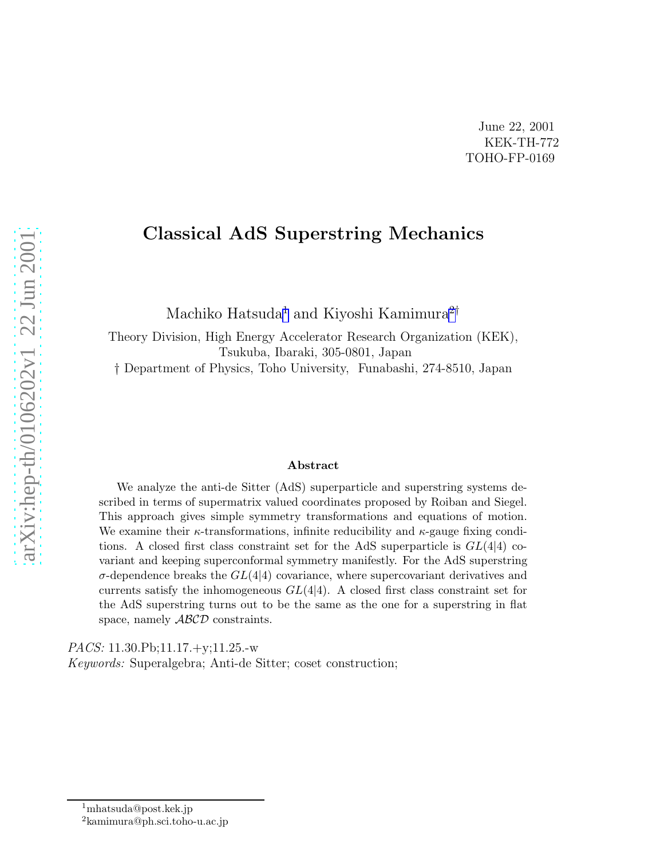## Classical AdS Superstring Mechanics

Machiko Hatsuda<sup>1</sup> and Kiyoshi Kamimura<sup>2†</sup>

Theory Division, High Energy Accelerator Research Organization (KEK), Tsukuba, Ibaraki, 305-0801, Japan

† Department of Physics, Toho University, Funabashi, 274-8510, Japan

#### Abstract

We analyze the anti-de Sitter (AdS) superparticle and superstring systems described in terms of supermatrix valued coordinates proposed by Roiban and Siegel. This approach gives simple symmetry transformations and equations of motion. We examine their  $\kappa$ -transformations, infinite reducibility and  $\kappa$ -gauge fixing conditions. A closed first class constraint set for the AdS superparticle is  $GL(4|4)$  covariant and keeping superconformal symmetry manifestly. For the AdS superstring  $\sigma$ -dependence breaks the  $GL(4)$  covariance, where supercovariant derivatives and currents satisfy the inhomogeneous  $GL(4|4)$ . A closed first class constraint set for the AdS superstring turns out to be the same as the one for a superstring in flat space, namely  $ABCD$  constraints.

PACS: 11.30.Pb;11.17.+y;11.25.-w Keywords: Superalgebra; Anti-de Sitter; coset construction;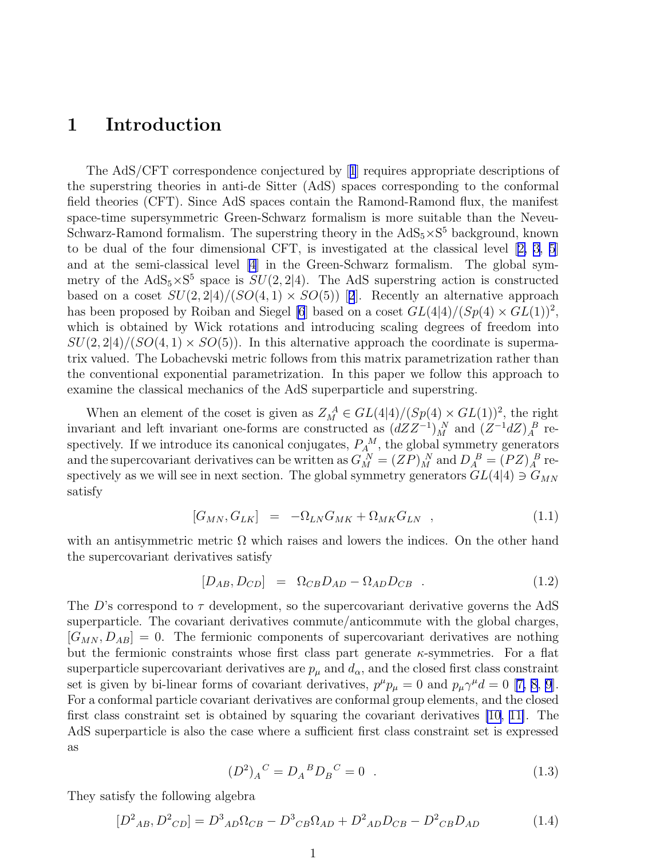## <span id="page-1-0"></span>1 Introduction

The AdS/CFT correspondence conjectured by[[1](#page-15-0)] requires appropriate descriptions of the superstring theories in anti-de Sitter (AdS) spaces corresponding to the conformal field theories (CFT). Since AdS spaces contain the Ramond-Ramond flux, the manifest space-time supersymmetric Green-Schwarz formalism is more suitable than the Neveu-Schwarz-Ramond formalism. The superstring theory in the  $AdS_5 \times S^5$  background, known to be dual of the four dimensional CFT, is investigated at the classical level[[2, 3, 5](#page-15-0)] and at the semi-classical level [\[4](#page-15-0)] in the Green-Schwarz formalism. The global symmetry of the  $AdS_5 \times S^5$  space is  $SU(2, 2|4)$ . The AdS superstring action is constructed basedon a coset  $SU(2, 2|4)/(SO(4, 1) \times SO(5))$  $SU(2, 2|4)/(SO(4, 1) \times SO(5))$  $SU(2, 2|4)/(SO(4, 1) \times SO(5))$  [2]. Recently an alternative approach has been proposed by Roiban and Siegel [\[6](#page-15-0)] based on a coset  $GL(4|4)/(Sp(4) \times GL(1))^2$ , which is obtained by Wick rotations and introducing scaling degrees of freedom into  $SU(2, 2|4)/(SO(4, 1) \times SO(5))$ . In this alternative approach the coordinate is supermatrix valued. The Lobachevski metric follows from this matrix parametrization rather than the conventional exponential parametrization. In this paper we follow this approach to examine the classical mechanics of the AdS superparticle and superstring.

When an element of the coset is given as  $Z_M^A \in GL(4|4)/(Sp(4) \times GL(1))^2$ , the right invariant and left invariant one-forms are constructed as  $(dZZ^{-1})^N_M$  and  $(Z^{-1}dZ)^R$  respectively. If we introduce its canonical conjugates,  $P_A^M$ , the global symmetry generators and the supercovariant derivatives can be written as  $G_M^N = (ZP)_M^N$  and  $D_A^B = (PZ)_A^B$  respectively as we will see in next section. The global symmetry generators  $GL(4|4) \ni G_{MN}$ satisfy

$$
[G_{MN}, G_{LK}] = -\Omega_{LN} G_{MK} + \Omega_{MK} G_{LN} \quad , \tag{1.1}
$$

with an antisymmetric metric  $\Omega$  which raises and lowers the indices. On the other hand the supercovariant derivatives satisfy

$$
[D_{AB}, D_{CD}] = \Omega_{CB} D_{AD} - \Omega_{AD} D_{CB} \t . \t (1.2)
$$

The D's correspond to  $\tau$  development, so the supercovariant derivative governs the AdS superparticle. The covariant derivatives commute/anticommute with the global charges,  $[G_{MN}, D_{AB}] = 0$ . The fermionic components of supercovariant derivatives are nothing but the fermionic constraints whose first class part generate  $\kappa$ -symmetries. For a flat superparticle supercovariant derivatives are  $p_{\mu}$  and  $d_{\alpha}$ , and the closed first class constraint setis given by bi-linear forms of covariant derivatives,  $p^{\mu}p_{\mu} = 0$  and  $p_{\mu}\gamma^{\mu}d = 0$  [[7, 8, 9](#page-15-0)]. For a conformal particle covariant derivatives are conformal group elements, and the closed first class constraint set is obtained by squaring the covariant derivatives [\[10](#page-15-0), [11\]](#page-15-0). The AdS superparticle is also the case where a sufficient first class constraint set is expressed as

$$
(D^2)_A{}^C = D_A{}^B D_B{}^C = 0 \t\t(1.3)
$$

They satisfy the following algebra

$$
[D^2{}_{AB}, D^2{}_{CD}] = D^3{}_{AD}\Omega_{CB} - D^3{}_{CB}\Omega_{AD} + D^2{}_{AD}D_{CB} - D^2{}_{CB}D_{AD}
$$
(1.4)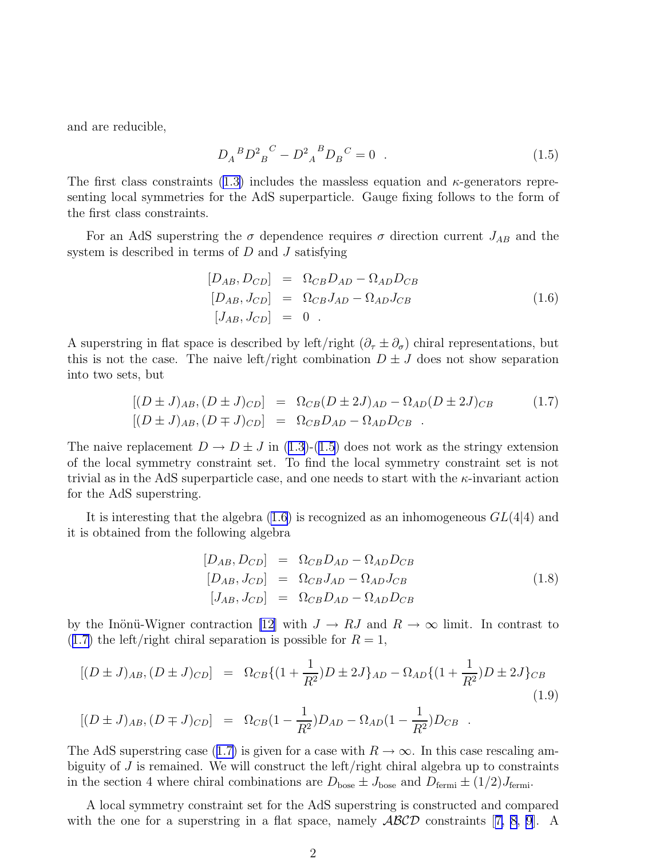<span id="page-2-0"></span>and are reducible,

$$
D_A{}^B D^2{}_B{}^C - D^2{}_A{}^B D_B{}^C = 0 . \qquad (1.5)
$$

Thefirst class constraints ([1.3\)](#page-1-0) includes the massless equation and  $\kappa$ -generators representing local symmetries for the AdS superparticle. Gauge fixing follows to the form of the first class constraints.

For an AdS superstring the  $\sigma$  dependence requires  $\sigma$  direction current  $J_{AB}$  and the system is described in terms of  $D$  and  $J$  satisfying

$$
[D_{AB}, D_{CD}] = \Omega_{CB} D_{AD} - \Omega_{AD} D_{CB}
$$
  
\n
$$
[D_{AB}, J_{CD}] = \Omega_{CB} J_{AD} - \Omega_{AD} J_{CB}
$$
  
\n
$$
[J_{AB}, J_{CD}] = 0
$$
 (1.6)

A superstring in flat space is described by left/right  $(\partial_{\tau} \pm \partial_{\sigma})$  chiral representations, but this is not the case. The naive left/right combination  $D \pm J$  does not show separation into two sets, but

$$
[(D \pm J)_{AB}, (D \pm J)_{CD}] = \Omega_{CB}(D \pm 2J)_{AD} - \Omega_{AD}(D \pm 2J)_{CB}
$$
  
\n
$$
[(D \pm J)_{AB}, (D \mp J)_{CD}] = \Omega_{CB}D_{AD} - \Omega_{AD}D_{CB}
$$
 (1.7)

Thenaive replacement  $D \to D \pm J$  in ([1.3\)](#page-1-0)-(1.5) does not work as the stringy extension of the local symmetry constraint set. To find the local symmetry constraint set is not trivial as in the AdS superparticle case, and one needs to start with the  $\kappa$ -invariant action for the AdS superstring.

It is interesting that the algebra  $(1.6)$  is recognized as an inhomogeneous  $GL(4|4)$  and it is obtained from the following algebra

$$
[D_{AB}, D_{CD}] = \Omega_{CB} D_{AD} - \Omega_{AD} D_{CB}
$$
  
\n
$$
[D_{AB}, J_{CD}] = \Omega_{CB} J_{AD} - \Omega_{AD} J_{CB}
$$
  
\n
$$
[J_{AB}, J_{CD}] = \Omega_{CB} D_{AD} - \Omega_{AD} D_{CB}
$$
\n(1.8)

by the Inönü-Wigner contraction [\[12\]](#page-15-0) with  $J \to RJ$  and  $R \to \infty$  limit. In contrast to (1.7) the left/right chiral separation is possible for  $R = 1$ ,

$$
[(D \pm J)_{AB}, (D \pm J)_{CD}] = \Omega_{CB}\{(1 + \frac{1}{R^2})D \pm 2J\}_{AD} - \Omega_{AD}\{(1 + \frac{1}{R^2})D \pm 2J\}_{CB}
$$
  

$$
[(D \pm J)_{AB}, (D \mp J)_{CD}] = \Omega_{CB}(1 - \frac{1}{R^2})D_{AD} - \Omega_{AD}(1 - \frac{1}{R^2})D_{CB}
$$
 (1.9)

The AdS superstring case (1.7) is given for a case with  $R \to \infty$ . In this case rescaling ambiguity of  $J$  is remained. We will construct the left/right chiral algebra up to constraints in the section 4 where chiral combinations are  $D_{\text{base}} \pm J_{\text{base}}$  and  $D_{\text{fermi}} \pm (1/2)J_{\text{fermi}}$ .

A local symmetry constraint set for the AdS superstring is constructed and compared withthe one for a superstring in a flat space, namely  $\mathcal{ABCD}$  constraints [[7, 8, 9](#page-15-0)]. A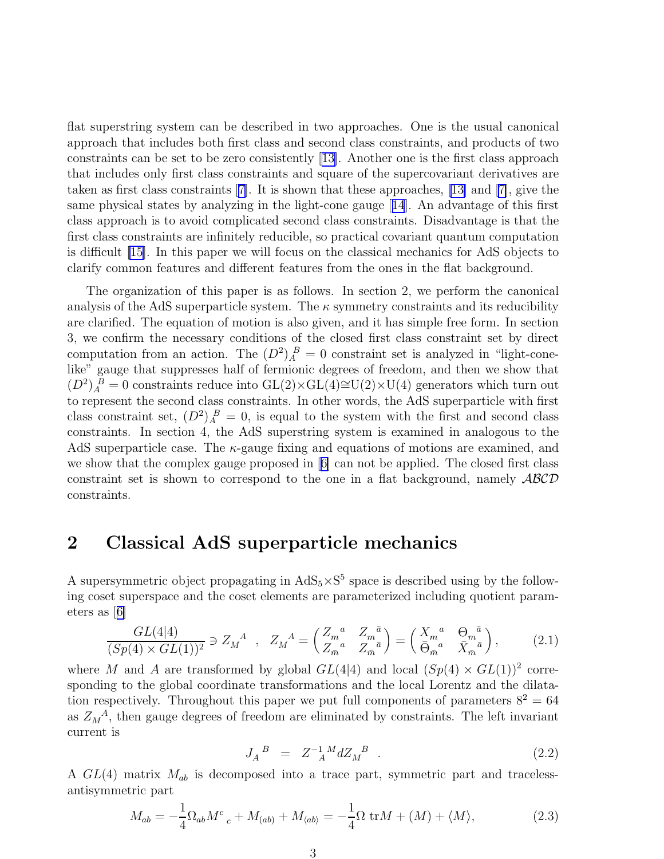flat superstring system can be described in two approaches. One is the usual canonical approach that includes both first class and second class constraints, and products of two constraints can be set to be zero consistently[[13\]](#page-15-0). Another one is the first class approach that includes only first class constraints and square of the supercovariant derivatives are taken as first class constraints[[7\]](#page-15-0). It is shown that these approaches, [\[13\]](#page-15-0) and[[7\]](#page-15-0), give the same physical states by analyzing in the light-cone gauge[[14](#page-15-0)]. An advantage of this first class approach is to avoid complicated second class constraints. Disadvantage is that the first class constraints are infinitely reducible, so practical covariant quantum computation is difficult [\[15\]](#page-15-0). In this paper we will focus on the classical mechanics for AdS objects to clarify common features and different features from the ones in the flat background.

The organization of this paper is as follows. In section 2, we perform the canonical analysis of the AdS superparticle system. The  $\kappa$  symmetry constraints and its reducibility are clarified. The equation of motion is also given, and it has simple free form. In section 3, we confirm the necessary conditions of the closed first class constraint set by direct computation from an action. The  $(D^2)_A^B = 0$  constraint set is analyzed in "light-conelike" gauge that suppresses half of fermionic degrees of freedom, and then we show that  $(D^2)_{A}^{B} = 0$  constraints reduce into GL(2)×GL(4)≅U(2)×U(4) generators which turn out to represent the second class constraints. In other words, the AdS superparticle with first class constraint set,  $(D^2)_A^B = 0$ , is equal to the system with the first and second class constraints. In section 4, the AdS superstring system is examined in analogous to the AdS superparticle case. The  $\kappa$ -gauge fixing and equations of motions are examined, and we show that the complex gauge proposed in[[6\]](#page-15-0) can not be applied. The closed first class constraint set is shown to correspond to the one in a flat background, namely ABCD constraints.

### 2 Classical AdS superparticle mechanics

A supersymmetric object propagating in  $AdS_5 \times S^5$  space is described using by the following coset superspace and the coset elements are parameterized including quotient parameters as[[6\]](#page-15-0)

$$
\frac{GL(4|4)}{(Sp(4)\times GL(1))^2} \ni Z_M^A \ , \ Z_M^A = \begin{pmatrix} Z_m^a & Z_m^{\bar{a}} \\ Z_{\bar{m}}^a & Z_{\bar{m}}^{\bar{a}} \end{pmatrix} = \begin{pmatrix} X_m^a & \Theta_m^{\bar{a}} \\ \bar{\Theta}_{\bar{m}}^a & \bar{X}_{\bar{m}}^{\bar{a}} \end{pmatrix}, \tag{2.1}
$$

where M and A are transformed by global  $GL(4|4)$  and local  $(Sp(4) \times GL(1))^2$  corresponding to the global coordinate transformations and the local Lorentz and the dilatation respectively. Throughout this paper we put full components of parameters  $8^2 = 64$ as  $Z_M^A$ , then gauge degrees of freedom are eliminated by constraints. The left invariant current is

$$
J_A{}^B = Z_{A}^{-1}{}^M dZ_M{}^B . \t\t(2.2)
$$

A  $GL(4)$  matrix  $M_{ab}$  is decomposed into a trace part, symmetric part and tracelessantisymmetric part

$$
M_{ab} = -\frac{1}{4}\Omega_{ab}M^c{}_c + M_{(ab)} + M_{\langle ab \rangle} = -\frac{1}{4}\Omega \operatorname{tr}M + \langle M \rangle + \langle M \rangle, \tag{2.3}
$$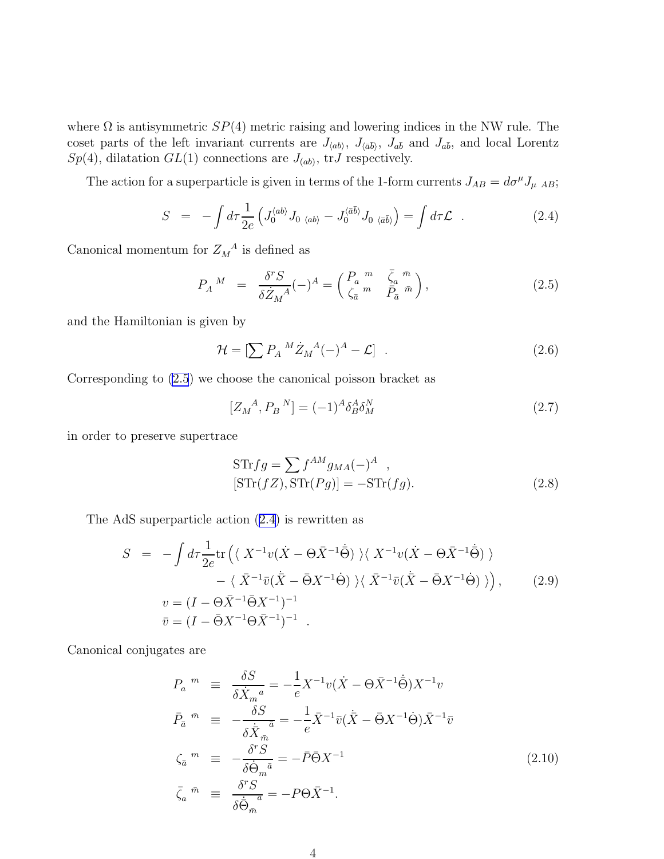<span id="page-4-0"></span>where  $\Omega$  is antisymmetric  $SP(4)$  metric raising and lowering indices in the NW rule. The coset parts of the left invariant currents are  $J_{\langle ab \rangle}$ ,  $J_{\langle \bar{a}\bar{b} \rangle}$ ,  $J_{a\bar{b}}$  and  $J_{a\bar{b}}$ , and local Lorentz  $Sp(4)$ , dilatation  $GL(1)$  connections are  $J_{(ab)}$ , tr $J$  respectively.

The action for a superparticle is given in terms of the 1-form currents  $J_{AB} = d\sigma^{\mu} J_{\mu AB}$ ;

$$
S = -\int d\tau \frac{1}{2e} \left( J_0^{\langle ab \rangle} J_0{}_{\langle ab \rangle} - J_0^{\langle \bar{a}\bar{b} \rangle} J_0{}_{\langle \bar{a}\bar{b} \rangle} \right) = \int d\tau \mathcal{L} . \qquad (2.4)
$$

Canonical momentum for  $Z_M^A$  is defined as

$$
P_A{}^M = \frac{\delta^r S}{\delta \dot{Z}_M{}^A} (-)^A = \begin{pmatrix} P_a{}^m & \bar{\zeta}_a{}^{\bar{m}} \\ \zeta_{\bar{a}}{}^m & \bar{P}_{\bar{a}}{}^{\bar{m}} \end{pmatrix},\tag{2.5}
$$

and the Hamiltonian is given by

$$
\mathcal{H} = \left[\sum P_A{}^M \dot{Z}_M{}^A (-)^A - \mathcal{L}\right] \tag{2.6}
$$

Corresponding to (2.5) we choose the canonical poisson bracket as

$$
[Z_M^A, P_B^N] = (-1)^A \delta_B^A \delta_M^N \tag{2.7}
$$

in order to preserve supertrace

$$
STrfg = \sum f^{AM} g_{MA}(-)^A ,
$$
  
\n
$$
[STr(fZ), STr(Pg)] = -STr(fg).
$$
 (2.8)

The AdS superparticle action (2.4) is rewritten as

$$
S = -\int d\tau \frac{1}{2e} \text{tr} \left( \langle X^{-1}v(\dot{X} - \Theta \bar{X}^{-1}\dot{\Theta}) \rangle \langle X^{-1}v(\dot{X} - \Theta \bar{X}^{-1}\dot{\Theta}) \rangle - \langle \bar{X}^{-1}\bar{v}(\dot{\bar{X}} - \bar{\Theta}X^{-1}\dot{\Theta}) \rangle \langle \bar{X}^{-1}\bar{v}(\dot{\bar{X}} - \bar{\Theta}X^{-1}\dot{\Theta}) \rangle \right), \qquad (2.9)
$$
  

$$
v = (I - \Theta \bar{X}^{-1}\bar{\Theta}X^{-1})^{-1}
$$

$$
\bar{v} = (I - \bar{\Theta}X^{-1}\Theta \bar{X}^{-1})^{-1}.
$$

Canonical conjugates are

$$
P_a{}^m \equiv \frac{\delta S}{\delta \dot{X}_m{}^a} = -\frac{1}{e} X^{-1} v (\dot{X} - \Theta \bar{X}^{-1} \dot{\Theta}) X^{-1} v
$$
  
\n
$$
\bar{P}_{\bar{a}}{}^{\bar{m}} \equiv -\frac{\delta S}{\delta \dot{\bar{X}}_{\bar{m}}{}^{\bar{a}}} = -\frac{1}{e} \bar{X}^{-1} \bar{v} (\dot{\bar{X}} - \bar{\Theta} X^{-1} \dot{\Theta}) \bar{X}^{-1} \bar{v}
$$
  
\n
$$
\zeta_{\bar{a}}{}^m \equiv -\frac{\delta^r S}{\delta \dot{\Theta}_m{}^{\bar{a}}} = -\bar{P} \bar{\Theta} X^{-1}
$$
  
\n
$$
\bar{\zeta}_a{}^{\bar{m}} \equiv \frac{\delta^r S}{\delta \dot{\bar{\Theta}}_{\bar{m}}{}^{\bar{a}}} = -P \Theta \bar{X}^{-1}.
$$
\n(2.10)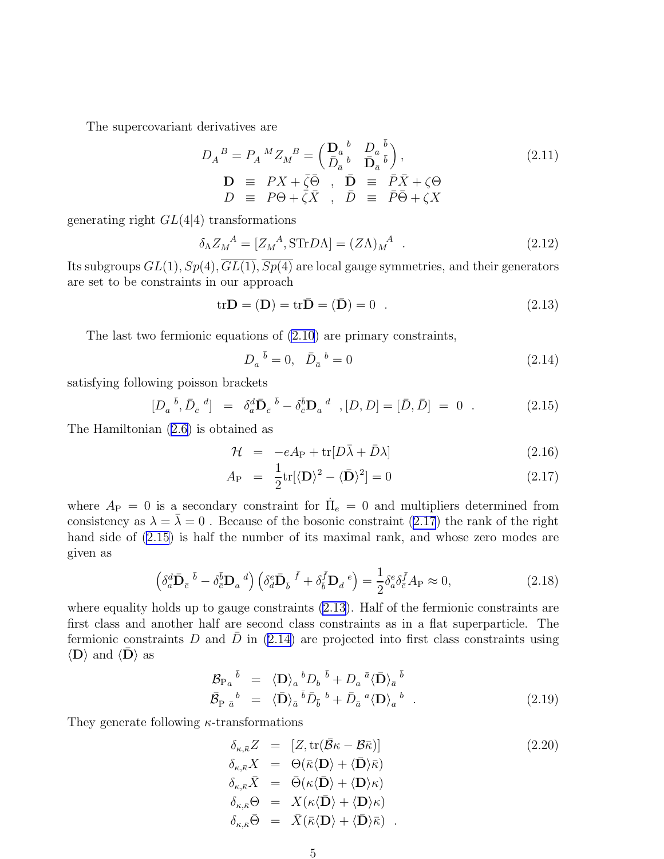<span id="page-5-0"></span>The supercovariant derivatives are

$$
D_A^B = P_A^M Z_M^B = \begin{pmatrix} \mathbf{D}_a^b & D_a^b \\ \bar{D}_{\bar{a}}^b & \bar{\mathbf{D}}_{\bar{a}}^b \end{pmatrix},
$$
\n
$$
\mathbf{D} \equiv PX + \bar{\zeta}\bar{\Theta} \ , \ \ \mathbf{D} \equiv P\bar{X} + \zeta\Theta
$$
\n
$$
D \equiv P\Theta + \bar{\zeta}\bar{X} \ , \ \ \bar{D} \equiv \bar{P}\bar{\Theta} + \zeta X
$$
\n
$$
(2.11)
$$

generating right  $GL(4|4)$  transformations

$$
\delta_{\Lambda} Z_{M}^{A} = [Z_{M}^{A}, \text{STr} D\Lambda] = (Z\Lambda)_{M}^{A} \tag{2.12}
$$

Its subgroups  $GL(1), Sp(4), GL(1), Sp(4)$  are local gauge symmetries, and their generators are set to be constraints in our approach

$$
tr\mathbf{D} = (\mathbf{D}) = tr\bar{\mathbf{D}} = (\bar{\mathbf{D}}) = 0 . \qquad (2.13)
$$

The last two fermionic equations of [\(2.10](#page-4-0)) are primary constraints,

$$
D_a^{\ \bar{b}} = 0, \quad \bar{D}_{\bar{a}}^{\ \bar{b}} = 0 \tag{2.14}
$$

satisfying following poisson brackets

$$
[D_a^{\ \bar{b}}, \bar{D}_{\bar{c}}^{\ \bar{d}}] = \delta_a^d \bar{\mathbf{D}}_{\bar{c}}^{\ \bar{b}} - \delta_{\bar{c}}^{\bar{b}} \mathbf{D}_a^{\ \bar{d}} \ , [D, D] = [\bar{D}, \bar{D}] = 0 . \tag{2.15}
$$

The Hamiltonian([2.6\)](#page-4-0) is obtained as

$$
\mathcal{H} = -eA_P + \text{tr}[D\bar{\lambda} + \bar{D}\lambda] \tag{2.16}
$$

$$
A_{\rm P} = \frac{1}{2} \text{tr}[\langle \mathbf{D} \rangle^2 - \langle \bar{\mathbf{D}} \rangle^2] = 0 \tag{2.17}
$$

where  $A_{\rm P} = 0$  is a secondary constraint for  $\dot{\Pi}_e = 0$  and multipliers determined from consistency as  $\lambda = \overline{\lambda} = 0$ . Because of the bosonic constraint (2.17) the rank of the right hand side of  $(2.15)$  is half the number of its maximal rank, and whose zero modes are given as

$$
\left(\delta_a^d \bar{\mathbf{D}}_{\bar{c}} \, \bar{b} - \delta_{\bar{c}}^{\bar{b}} \mathbf{D}_a \,^d\right) \left(\delta_a^e \bar{\mathbf{D}}_{\bar{b}} \, \bar{f} + \delta_{\bar{b}}^{\bar{f}} \mathbf{D}_d \,^e\right) = \frac{1}{2} \delta_a^e \delta_{\bar{c}}^{\bar{f}} A_P \approx 0,\tag{2.18}
$$

where equality holds up to gauge constraints  $(2.13)$ . Half of the fermionic constraints are first class and another half are second class constraints as in a flat superparticle. The fermionic constraints D and  $\bar{D}$  in (2.14) are projected into first class constraints using  $\langle \mathbf{D} \rangle$  and  $\langle \mathbf{D} \rangle$  as

$$
\mathcal{B}_{\mathrm{P}a}{}^{\bar{b}} = \langle \mathbf{D} \rangle_a{}^b D_b{}^{\bar{b}} + D_a{}^{\bar{a}} \langle \bar{\mathbf{D}} \rangle_{\bar{a}}{}^{\bar{b}} \n\bar{\mathcal{B}}_{\mathrm{P} \bar{a}}{}^b = \langle \bar{\mathbf{D}} \rangle_{\bar{a}}{}^{\bar{b}} \bar{D}_{\bar{b}}{}^{\bar{b}} + \bar{D}_{\bar{a}}{}^{\bar{a}} \langle \mathbf{D} \rangle_{a}{}^{\bar{b}}.
$$
\n(2.19)

They generate following  $\kappa$ -transformations

$$
\delta_{\kappa,\bar{\kappa}}Z = [Z, \text{tr}(\bar{\mathcal{B}}\kappa - \mathcal{B}\bar{\kappa})]
$$
\n
$$
\delta_{\kappa,\bar{\kappa}}X = \Theta(\bar{\kappa}\langle \mathbf{D} \rangle + \langle \bar{\mathbf{D}} \rangle \bar{\kappa})
$$
\n
$$
\delta_{\kappa,\bar{\kappa}}\bar{X} = \bar{\Theta}(\kappa\langle \bar{\mathbf{D}} \rangle + \langle \mathbf{D} \rangle \kappa)
$$
\n
$$
\delta_{\kappa,\bar{\kappa}}\Theta = X(\kappa\langle \bar{\mathbf{D}} \rangle + \langle \mathbf{D} \rangle \kappa)
$$
\n
$$
\delta_{\kappa,\bar{\kappa}}\bar{\Theta} = \bar{X}(\bar{\kappa}\langle \mathbf{D} \rangle + \langle \bar{\mathbf{D}} \rangle \bar{\kappa}).
$$
\n(2.20)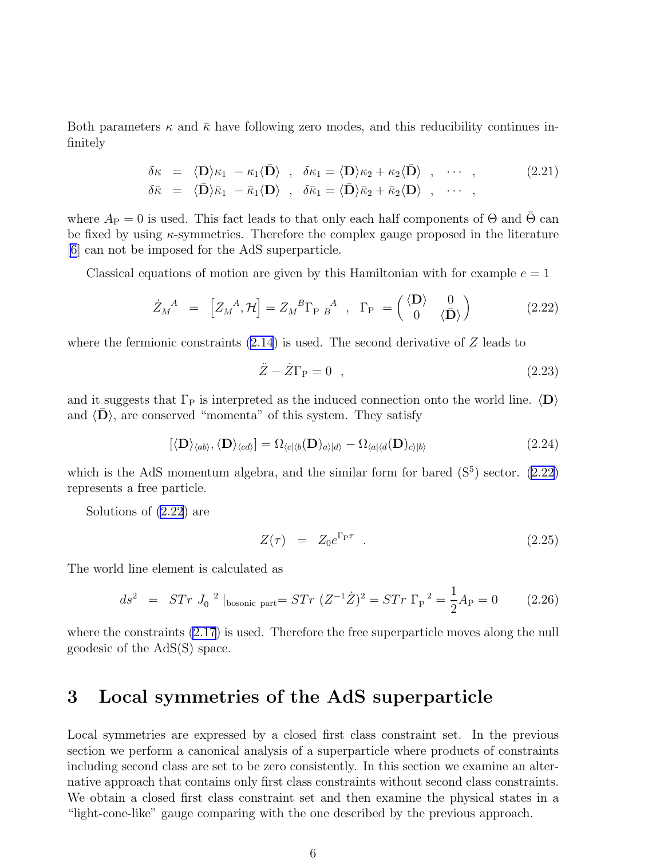Both parameters  $\kappa$  and  $\bar{\kappa}$  have following zero modes, and this reducibility continues infinitely

$$
\delta \kappa = \langle \mathbf{D} \rangle \kappa_1 - \kappa_1 \langle \mathbf{D} \rangle , \quad \delta \kappa_1 = \langle \mathbf{D} \rangle \kappa_2 + \kappa_2 \langle \mathbf{D} \rangle , \quad \cdots , \quad (2.21)
$$
\n
$$
\delta \bar{\kappa} = \langle \mathbf{D} \rangle \bar{\kappa}_1 - \bar{\kappa}_1 \langle \mathbf{D} \rangle , \quad \delta \bar{\kappa}_1 = \langle \mathbf{D} \rangle \bar{\kappa}_2 + \bar{\kappa}_2 \langle \mathbf{D} \rangle , \quad \cdots ,
$$

where  $A_P = 0$  is used. This fact leads to that only each half components of  $\Theta$  and  $\overline{\Theta}$  can be fixed by using  $\kappa$ -symmetries. Therefore the complex gauge proposed in the literature [\[6](#page-15-0)] can not be imposed for the AdS superparticle.

Classical equations of motion are given by this Hamiltonian with for example  $e = 1$ 

$$
\dot{Z}_M^A = \begin{bmatrix} Z_M^A, \mathcal{H} \end{bmatrix} = Z_M^B \Gamma_{P \ B}^A , \ \Gamma_P = \begin{pmatrix} \langle \mathbf{D} \rangle & 0 \\ 0 & \langle \mathbf{D} \rangle \end{pmatrix} \tag{2.22}
$$

where the fermionic constraints  $(2.14)$  is used. The second derivative of Z leads to

$$
\ddot{Z} - \dot{Z}\Gamma_{\rm P} = 0 \quad , \tag{2.23}
$$

and it suggests that  $\Gamma_P$  is interpreted as the induced connection onto the world line.  $\langle D \rangle$ and  $\langle \mathbf{D} \rangle$ , are conserved "momenta" of this system. They satisfy

$$
[\langle \mathbf{D} \rangle_{\langle ab \rangle}, \langle \mathbf{D} \rangle_{\langle cd \rangle}] = \Omega_{\langle c| \langle b}(\mathbf{D})_{a \rangle | d \rangle} - \Omega_{\langle a| \langle d}(\mathbf{D})_{c \rangle | b \rangle} \tag{2.24}
$$

which is the AdS momentum algebra, and the similar form for bared  $(S<sup>5</sup>)$  sector. (2.22) represents a free particle.

Solutions of (2.22) are

$$
Z(\tau) = Z_0 e^{\Gamma_{\rm PT}} \tag{2.25}
$$

The world line element is calculated as

$$
ds^{2} = STr J_{0}^{2} |_{\text{bosonic part}} = STr (Z^{-1}\dot{Z})^{2} = STr \Gamma_{P}^{2} = \frac{1}{2}A_{P} = 0 \qquad (2.26)
$$

where the constraints [\(2.17](#page-5-0)) is used. Therefore the free superparticle moves along the null geodesic of the AdS(S) space.

# 3 Local symmetries of the AdS superparticle

Local symmetries are expressed by a closed first class constraint set. In the previous section we perform a canonical analysis of a superparticle where products of constraints including second class are set to be zero consistently. In this section we examine an alternative approach that contains only first class constraints without second class constraints. We obtain a closed first class constraint set and then examine the physical states in a "light-cone-like" gauge comparing with the one described by the previous approach.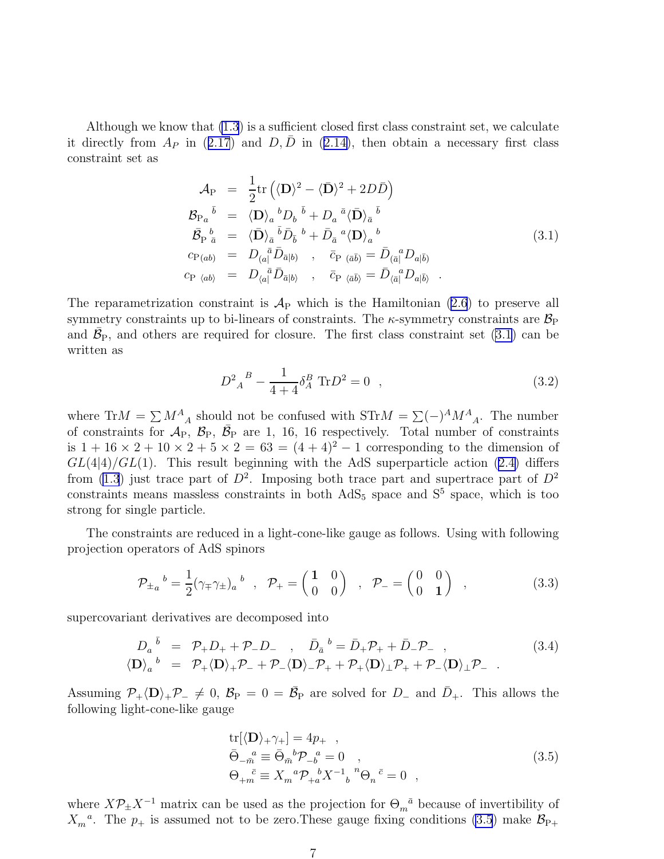<span id="page-7-0"></span>Although we know that [\(1.3](#page-1-0)) is a sufficient closed first class constraint set, we calculate itdirectly from  $A_P$  in ([2.17](#page-5-0)) and  $D, \bar{D}$  in ([2.14\)](#page-5-0), then obtain a necessary first class constraint set as

$$
\mathcal{A}_{\rm P} = \frac{1}{2} {\rm tr} \left( \langle \mathbf{D} \rangle^2 - \langle \bar{\mathbf{D}} \rangle^2 + 2D\bar{D} \right)
$$
\n
$$
\mathcal{B}_{\rm P_a}{}^{\bar{b}} = \langle \mathbf{D} \rangle_a{}^b D_b{}^{\bar{b}} + D_a{}^{\bar{a}} \langle \bar{\mathbf{D}} \rangle_{\bar{a}}{}^{\bar{b}}
$$
\n
$$
\bar{\mathcal{B}}_{\rm P}{}^{\bar{b}}_{\bar{a}} = \langle \bar{\mathbf{D}} \rangle_{\bar{a}}{}^{\bar{b}} \bar{D}_{\bar{b}}{}^{\bar{b}} + \bar{D}_{\bar{a}}{}^{\bar{a}} \langle \mathbf{D} \rangle_{a}{}^{\bar{b}}
$$
\n
$$
c_{\rm P(ab)} = D_{(a}{}^{\bar{a}} \bar{D}_{\bar{a}|b)} , \quad \bar{c}_{\rm P}{}_{(\bar{a}\bar{b})} = \bar{D}_{(\bar{a}]}{}^{\bar{a}} D_{a|\bar{b}}
$$
\n
$$
c_{\rm P}{}_{\langle ab \rangle} = D_{\langle a}{}^{\bar{a}} \bar{D}_{\bar{a}|b} , \quad \bar{c}_{\rm P}{}_{\langle \bar{a}\bar{b} \rangle} = \bar{D}_{\langle \bar{a}]}{}^{\bar{a}} D_{a|\bar{b}} .
$$
\n(3.1)

The reparametrization constraint is  $A_P$  which is the Hamiltonian [\(2.6](#page-4-0)) to preserve all symmetry constraints up to bi-linears of constraints. The  $\kappa$ -symmetry constraints are  $\mathcal{B}_P$ and  $\bar{\mathcal{B}}_{P}$ , and others are required for closure. The first class constraint set (3.1) can be written as

$$
D_{A}^{2}{}_{A}^{B} - \frac{1}{4+4} \delta_{A}^{B} \text{ Tr} D^{2} = 0 \quad , \tag{3.2}
$$

where  $\text{Tr}M = \sum M_A^A$  should not be confused with  $\text{STr}M = \sum (-)^A M_A^A$ . The number of constraints for  $\mathcal{A}_P$ ,  $\mathcal{B}_P$ ,  $\bar{\mathcal{B}}_P$  are 1, 16, 16 respectively. Total number of constraints is  $1 + 16 \times 2 + 10 \times 2 + 5 \times 2 = 63 = (4 + 4)^2 - 1$  corresponding to the dimension of  $GL(4|4)/GL(1)$ .This result beginning with the AdS superparticle action ([2.4\)](#page-4-0) differs from [\(1.3](#page-1-0)) just trace part of  $D^2$ . Imposing both trace part and supertrace part of  $D^2$ constraints means massless constraints in both  $AdS_5$  space and  $S^5$  space, which is too strong for single particle.

The constraints are reduced in a light-cone-like gauge as follows. Using with following projection operators of AdS spinors

$$
\mathcal{P}_{\pm a}{}^{b} = \frac{1}{2} (\gamma_{\mp} \gamma_{\pm})_{a}{}^{b} , \quad \mathcal{P}_{+} = \begin{pmatrix} 1 & 0 \\ 0 & 0 \end{pmatrix} , \quad \mathcal{P}_{-} = \begin{pmatrix} 0 & 0 \\ 0 & 1 \end{pmatrix} , \tag{3.3}
$$

supercovariant derivatives are decomposed into

$$
D_a^{\bar{b}} = \mathcal{P}_+ D_+ + \mathcal{P}_- D_- , \quad \bar{D}_{\bar{a}}^{\bar{b}} = \bar{D}_+ \mathcal{P}_+ + \bar{D}_- \mathcal{P}_- ,
$$
  
\n
$$
\langle \mathbf{D} \rangle_a^{\bar{b}} = \mathcal{P}_+ \langle \mathbf{D} \rangle_+ \mathcal{P}_- + \mathcal{P}_- \langle \mathbf{D} \rangle_- \mathcal{P}_+ + \mathcal{P}_+ \langle \mathbf{D} \rangle_+ \mathcal{P}_+ + \mathcal{P}_- \langle \mathbf{D} \rangle_+ \mathcal{P}_- .
$$
\n(3.4)

Assuming  $P_+ \langle D \rangle_+ P_- \neq 0$ ,  $B_P = 0 = \bar{B_P}$  are solved for  $D_-$  and  $\bar{D}_+$ . This allows the following light-cone-like gauge

$$
\text{tr}[\langle \mathbf{D} \rangle_{+} \gamma_{+}] = 4p_{+} ,\n\bar{\Theta}_{-\bar{m}}^{\quad a} \equiv \bar{\Theta}_{\bar{m}}^{\quad b} \mathcal{P}_{-b}^{\quad a} = 0 ,\n\Theta_{+\bar{m}}^{\quad \bar{c}} \equiv X_{m}^{\quad a} \mathcal{P}_{+a}^{\quad b} X^{-1}{}_{b}^{\quad n} \Theta_{n}^{\quad \bar{c}} = 0 ,
$$
\n(3.5)

where  $X\mathcal{P}_{\pm}X^{-1}$  matrix can be used as the projection for  $\Theta_m{}^{\bar{a}}$  because of invertibility of  $X_m^a$ . The  $p_+$  is assumed not to be zero. These gauge fixing conditions (3.5) make  $\mathcal{B}_{P+}$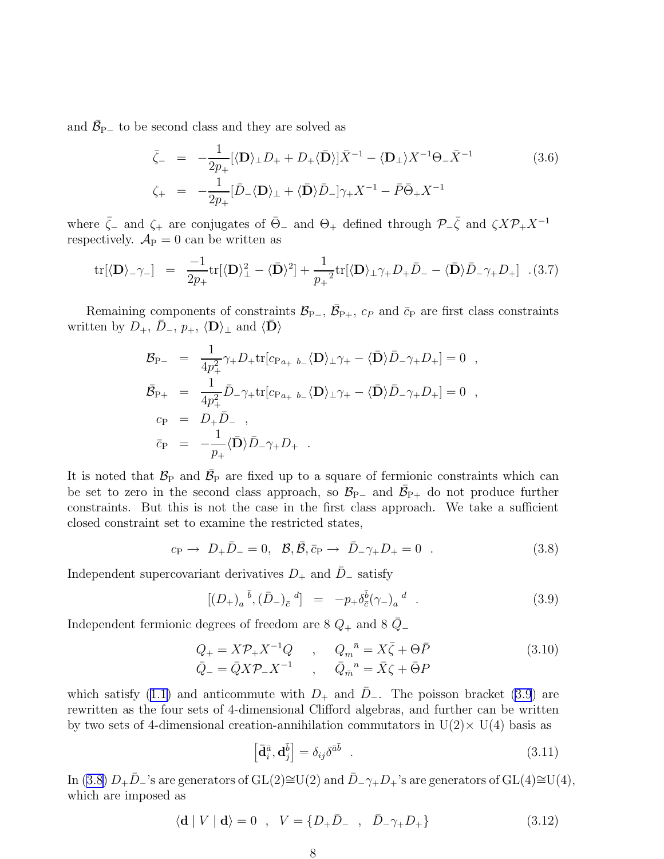<span id="page-8-0"></span>and  $\bar{\mathcal{B}}_{\mathrm{P}-}$  to be second class and they are solved as

$$
\bar{\zeta}_{-} = -\frac{1}{2p_{+}} [\langle \mathbf{D} \rangle_{\perp} D_{+} + D_{+} \langle \bar{\mathbf{D}} \rangle] \bar{X}^{-1} - \langle \mathbf{D}_{\perp} \rangle X^{-1} \Theta_{-} \bar{X}^{-1}
$$
\n
$$
\zeta_{+} = -\frac{1}{2p_{+}} [\bar{D}_{-} \langle \mathbf{D} \rangle_{\perp} + \langle \bar{\mathbf{D}} \rangle \bar{D}_{-} \gamma_{+} X^{-1} - \bar{P} \bar{\Theta}_{+} X^{-1}
$$
\n(3.6)

where  $\bar{\zeta}_-$  and  $\zeta_+$  are conjugates of  $\bar{\Theta}_-$  and  $\Theta_+$  defined through  $\mathcal{P}_-\bar{\zeta}$  and  $\zeta X \mathcal{P}_+ X^{-1}$ respectively.  $A_P = 0$  can be written as

$$
\text{tr}[\langle \mathbf{D} \rangle_{-\gamma-}] = \frac{-1}{2p_+} \text{tr}[\langle \mathbf{D} \rangle_{\perp}^2 - \langle \bar{\mathbf{D}} \rangle^2] + \frac{1}{p_+^2} \text{tr}[\langle \mathbf{D} \rangle_{\perp} \gamma_+ D_+ \bar{D}_- - \langle \bar{\mathbf{D}} \rangle \bar{D}_- \gamma_+ D_+] \quad (3.7)
$$

Remaining components of constraints  $\mathcal{B}_{P-}$ ,  $\bar{\mathcal{B}}_{P+}$ ,  $c_P$  and  $\bar{c}_P$  are first class constraints written by  $D_+$ ,  $\bar{D}_-$ ,  $p_+$ ,  $\langle \mathbf{D} \rangle_{\perp}$  and  $\langle \mathbf{D} \rangle$ 

$$
\mathcal{B}_{\rm P-} = \frac{1}{4p_+^2} \gamma_+ D_+ {\rm tr} [c_{\rm P}{}_{a_+}{}_{b_-} \langle \mathbf{D} \rangle_{\perp} \gamma_+ - \langle \mathbf{\bar{D}} \rangle \bar{D}_- \gamma_+ D_+ ] = 0 ,
$$
  
\n
$$
\mathcal{\bar{B}}_{\rm P+} = \frac{1}{4p_+^2} \bar{D}_- \gamma_+ {\rm tr} [c_{\rm P}{}_{a_+}{}_{b_-} \langle \mathbf{D} \rangle_{\perp} \gamma_+ - \langle \mathbf{\bar{D}} \rangle \bar{D}_- \gamma_+ D_+ ] = 0 ,
$$
  
\n
$$
c_{\rm P} = D_+ \bar{D}_- ,
$$
  
\n
$$
\bar{c}_{\rm P} = -\frac{1}{p_+} \langle \mathbf{\bar{D}} \rangle \bar{D}_- \gamma_+ D_+ .
$$

It is noted that  $\mathcal{B}_P$  and  $\bar{\mathcal{B}}_P$  are fixed up to a square of fermionic constraints which can be set to zero in the second class approach, so  $\mathcal{B}_{P-}$  and  $\bar{\mathcal{B}}_{P+}$  do not produce further constraints. But this is not the case in the first class approach. We take a sufficient closed constraint set to examine the restricted states,

$$
c_{\rm P} \rightarrow D_+ \bar{D}_- = 0, \ \ \mathcal{B}, \bar{\mathcal{B}}, \bar{c}_{\rm P} \rightarrow \bar{D}_- \gamma_+ D_+ = 0 \ \ .
$$
 (3.8)

Independent supercovariant derivatives  $D_+$  and  $\bar{D}_-$  satisfy

$$
[(D_{+})_{a}{}^{\bar{b}}, (\bar{D}_{-})_{\bar{c}}{}^{d}] = -p_{+}\delta_{\bar{c}}^{\bar{b}}(\gamma_{-})_{a}{}^{d} . \qquad (3.9)
$$

Independent fermionic degrees of freedom are 8  $Q_+$  and 8  $\overline{Q}_-$ 

$$
Q_{+} = X\mathcal{P}_{+}X^{-1}Q \qquad , \qquad Q_{m}{}^{\bar{n}} = X\bar{\zeta} + \Theta\bar{P}
$$
  
\n
$$
\bar{Q}_{-} = \bar{Q}X\mathcal{P}_{-}X^{-1} \qquad , \qquad \bar{Q}_{\bar{m}}{}^{\bar{n}} = \bar{X}\zeta + \bar{\Theta}P
$$
\n(3.10)

whichsatisfy ([1.1\)](#page-1-0) and anticommute with  $D_+$  and  $\overline{D}_-$ . The poisson bracket (3.9) are rewritten as the four sets of 4-dimensional Clifford algebras, and further can be written by two sets of 4-dimensional creation-annihilation commutators in  $U(2) \times U(4)$  basis as

$$
\left[\bar{\mathbf{d}}_i^{\bar{a}}, \mathbf{d}_j^{\bar{b}}\right] = \delta_{ij}\delta^{\bar{a}\bar{b}} \quad . \tag{3.11}
$$

In (3.8)  $D_+\bar{D}_-$ 's are generators of GL(2)≅U(2) and  $\bar{D}_-\gamma_+D_+$ 's are generators of GL(4)≅U(4), which are imposed as

$$
\langle \mathbf{d} | V | \mathbf{d} \rangle = 0 \quad , \quad V = \{ D_+ \bar{D}_- \quad , \quad \bar{D}_- \gamma_+ D_+ \}
$$
 (3.12)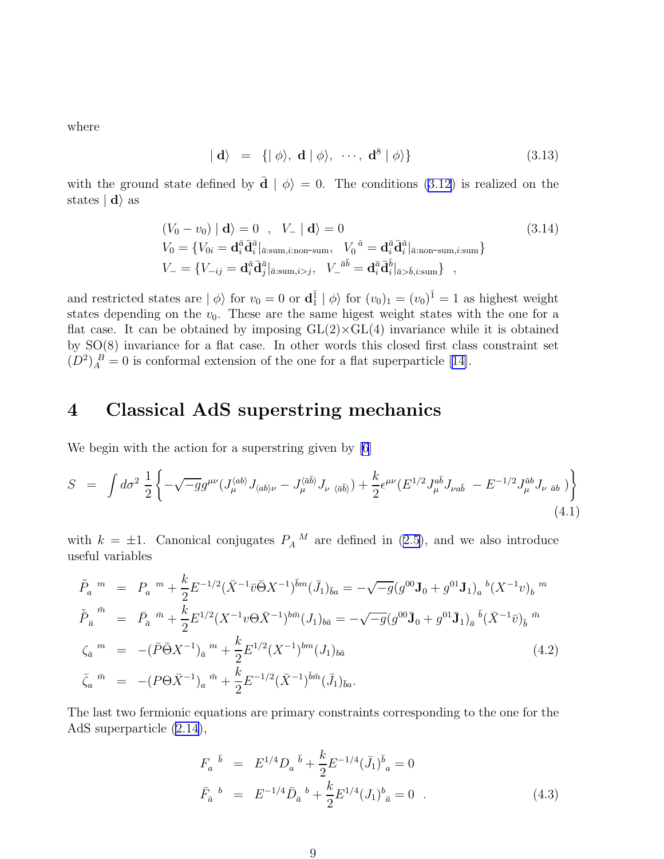<span id="page-9-0"></span>where

$$
|\mathbf{d}\rangle = \{|\phi\rangle, \mathbf{d}|\phi\rangle, \cdots, \mathbf{d}^8|\phi\rangle\}
$$
 (3.13)

with the ground state defined by  $\bar{\mathbf{d}} \mid \phi$  = 0. The conditions [\(3.12](#page-8-0)) is realized on the states  $| \mathbf{d} \rangle$  as

$$
(V_0 - v_0) | \mathbf{d} \rangle = 0, \quad V_- | \mathbf{d} \rangle = 0
$$
\n
$$
(3.14)
$$
\n
$$
V_0 = \{ V_{0i} = \mathbf{d}_i^{\bar{a}} \mathbf{\bar{d}}_i^{\bar{a}} |_{\bar{a}:\text{sum},i:\text{non-sum}}, \quad V_0^{\bar{a}} = \mathbf{d}_i^{\bar{a}} \mathbf{\bar{d}}_i^{\bar{a}} |_{\bar{a}:\text{non-sum},i:\text{sum}} \}
$$
\n
$$
V_- = \{ V_{-ij} = \mathbf{d}_i^{\bar{a}} \mathbf{\bar{d}}_j^{\bar{a}} |_{\bar{a}:\text{sum},i>j}, \quad V_-^{\bar{a}\bar{b}} = \mathbf{d}_i^{\bar{a}} \mathbf{\bar{d}}_i^{\bar{b}} |_{\bar{a} > \bar{b},i:\text{sum}} \},
$$
\n(3.14)

and restricted states are  $|\phi\rangle$  for  $v_0 = 0$  or  $\mathbf{d}_1^{\bar{1}} | \phi\rangle$  for  $(v_0)_1 = (v_0)^{\bar{1}} = 1$  as highest weight states depending on the  $v_0$ . These are the same higest weight states with the one for a flat case. It can be obtained by imposing  $GL(2)\times GL(4)$  invariance while it is obtained by SO(8) invariance for a flat case. In other words this closed first class constraint set  $(D^2)_A^B = 0$  is conformal extension of the one for a flat superparticle [\[14\]](#page-15-0).

# 4 Classical AdS superstring mechanics

We begin with the action for a superstring given by [\[6](#page-15-0)]

$$
S = \int d\sigma^2 \frac{1}{2} \left\{ -\sqrt{-g} g^{\mu\nu} (J_{\mu}^{\langle ab\rangle} J_{\langle ab\rangle\nu} - J_{\mu}^{\langle \bar{a}\bar{b}\rangle} J_{\nu \langle \bar{a}\bar{b}\rangle}) + \frac{k}{2} \epsilon^{\mu\nu} (E^{1/2} J_{\mu}^{\bar{a}\bar{b}} J_{\nu a\bar{b}} - E^{-1/2} J_{\mu}^{\bar{a}b} J_{\nu \bar{a}b}) \right\} \tag{4.1}
$$

with $k = \pm 1$ . Canonical conjugates  $P_A{}^M$  are defined in ([2.5](#page-4-0)), and we also introduce useful variables

$$
\tilde{P}_a^m = P_a^m + \frac{k}{2} E^{-1/2} (\bar{X}^{-1} \bar{v} \bar{\Theta} X^{-1})^{\bar{b}m} (\bar{J}_1)_{\bar{b}a} = -\sqrt{-g} (g^{00} \mathbf{J}_0 + g^{01} \mathbf{J}_1)_a{}^b (X^{-1} v)_b{}^m
$$
\n
$$
\tilde{P}_{\bar{a}}^{\bar{m}} = \bar{P}_{\bar{a}}^{\bar{m}} + \frac{k}{2} E^{1/2} (X^{-1} v \Theta \bar{X}^{-1})^{b \bar{m}} (J_1)_{b \bar{a}} = -\sqrt{-g} (g^{00} \mathbf{J}_0 + g^{01} \mathbf{J}_1)_a{}^b (\bar{X}^{-1} \bar{v})_{\bar{b}}{}^{\bar{m}}
$$
\n
$$
\zeta_{\bar{a}}^m = -(\bar{P} \bar{\Theta} X^{-1})_{\bar{a}}{}^m + \frac{k}{2} E^{1/2} (X^{-1})^{b \bar{m}} (J_1)_{b \bar{a}} \qquad (4.2)
$$
\n
$$
\bar{\zeta}_a^{\bar{m}} = -(P \Theta \bar{X}^{-1})_a{}^{\bar{m}} + \frac{k}{2} E^{-1/2} (\bar{X}^{-1})^{\bar{b} \bar{m}} (\bar{J}_1)_{\bar{b} a}.
$$

The last two fermionic equations are primary constraints corresponding to the one for the AdS superparticle [\(2.14](#page-5-0)),

$$
F_a^{\ \bar{b}} = E^{1/4} D_a^{\ \bar{b}} + \frac{k}{2} E^{-1/4} (\bar{J}_1)^{\bar{b}}_a = 0
$$
  

$$
\bar{F}_a^{\ b} = E^{-1/4} \bar{D}_a^{\ b} + \frac{k}{2} E^{1/4} (J_1)^b_{\ \bar{a}} = 0 \quad . \tag{4.3}
$$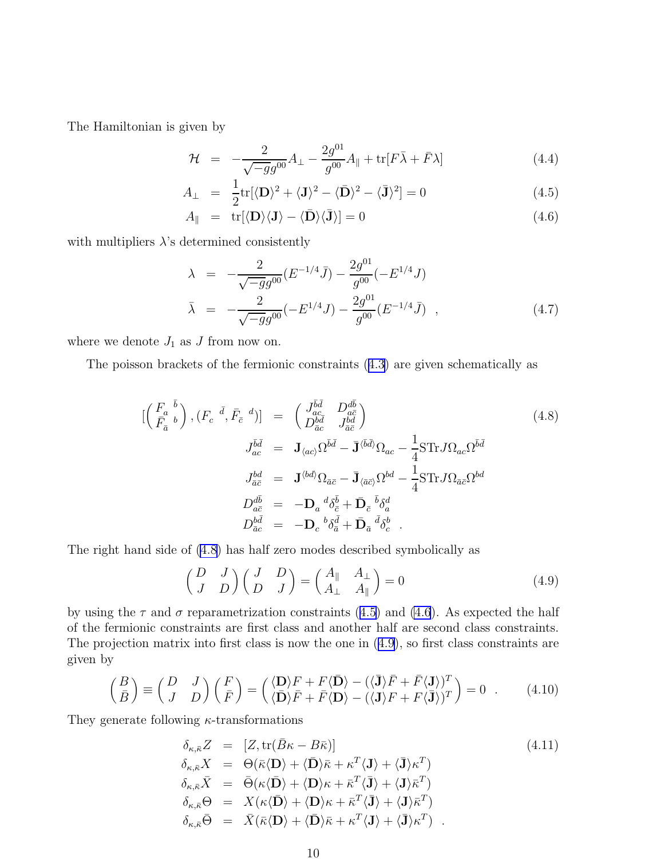<span id="page-10-0"></span>The Hamiltonian is given by

$$
\mathcal{H} = -\frac{2}{\sqrt{-g}g^{00}}A_{\perp} - \frac{2g^{01}}{g^{00}}A_{\parallel} + \text{tr}[F\bar{\lambda} + \bar{F}\lambda] \tag{4.4}
$$

$$
A_{\perp} = \frac{1}{2} \text{tr}[\langle \mathbf{D} \rangle^2 + \langle \mathbf{J} \rangle^2 - \langle \mathbf{\bar{D}} \rangle^2 - \langle \mathbf{\bar{J}} \rangle^2] = 0 \tag{4.5}
$$

$$
A_{\parallel} = \text{tr}[\langle \mathbf{D} \rangle \langle \mathbf{J} \rangle - \langle \bar{\mathbf{D}} \rangle \langle \bar{\mathbf{J}} \rangle] = 0 \tag{4.6}
$$

with multipliers  $\lambda$ 's determined consistently

$$
\lambda = -\frac{2}{\sqrt{-g}g^{00}} (E^{-1/4}\bar{J}) - \frac{2g^{01}}{g^{00}} (-E^{1/4}J)
$$
\n
$$
\bar{\lambda} = -\frac{2}{\sqrt{-g}g^{00}} (-E^{1/4}J) - \frac{2g^{01}}{g^{00}} (E^{-1/4}\bar{J}) , \qquad (4.7)
$$

where we denote  $J_1$  as J from now on.

The poisson brackets of the fermionic constraints([4.3\)](#page-9-0) are given schematically as

$$
\begin{aligned}\n\left[\left(\frac{F_a}{\bar{F}_{\bar{a}}}^{\bar{b}}\right), \left(F_c^{-\bar{d}}, \bar{F}_{\bar{c}}^{-d}\right)\right] &= \left(\frac{J_{ac}^{\bar{b}\bar{d}}}{D_{\bar{a}\bar{c}}^{\bar{b}\bar{d}}} \frac{D_{a\bar{c}}^{d\bar{b}}}{J_{\bar{a}\bar{c}}^{\bar{b}\bar{d}}}\right) \\
J_{ac}^{\bar{b}\bar{d}} &= \mathbf{J}_{\langle ac\rangle} \Omega^{\bar{b}\bar{d}} - \bar{\mathbf{J}}^{\langle \bar{b}\bar{d}\rangle} \Omega_{ac} - \frac{1}{4} \text{STr} J \Omega_{ac} \Omega^{\bar{b}\bar{d}} \\
J_{\bar{a}\bar{c}}^{\bar{b}\bar{d}} &= \mathbf{J}^{\langle bd\rangle} \Omega_{\bar{a}\bar{c}} - \bar{\mathbf{J}}_{\langle \bar{a}\bar{c}\rangle} \Omega^{bd} - \frac{1}{4} \text{STr} J \Omega_{\bar{a}\bar{c}} \Omega^{bd} \\
D_{a\bar{c}}^{\bar{d}\bar{b}} &= -\mathbf{D}_a \,^d \delta_{\bar{c}}^{\bar{b}} + \bar{\mathbf{D}}_{\bar{c}} \,^{\bar{b}} \delta_a^d \\
D_{\bar{a}\bar{c}}^{\bar{b}\bar{d}} &= -\mathbf{D}_c \,^b \delta_{\bar{a}}^{\bar{d}} + \bar{\mathbf{D}}_{\bar{a}} \,^{\bar{d}} \delta_c^b \ .\n\end{aligned} \tag{4.8}
$$

The right hand side of (4.8) has half zero modes described symbolically as

$$
\begin{pmatrix} D & J \\ J & D \end{pmatrix} \begin{pmatrix} J & D \\ D & J \end{pmatrix} = \begin{pmatrix} A_{\parallel} & A_{\perp} \\ A_{\perp} & A_{\parallel} \end{pmatrix} = 0 \tag{4.9}
$$

by using the  $\tau$  and  $\sigma$  reparametrization constraints (4.5) and (4.6). As expected the half of the fermionic constraints are first class and another half are second class constraints. The projection matrix into first class is now the one in (4.9), so first class constraints are given by

$$
\begin{pmatrix} B \\ \bar{B} \end{pmatrix} \equiv \begin{pmatrix} D & J \\ J & D \end{pmatrix} \begin{pmatrix} F \\ \bar{F} \end{pmatrix} = \begin{pmatrix} \langle \mathbf{D} \rangle F + F \langle \bar{\mathbf{D}} \rangle - (\langle \bar{\mathbf{J}} \rangle \bar{F} + \bar{F} \langle \mathbf{J} \rangle)^T \\ \langle \bar{\mathbf{D}} \rangle \bar{F} + \bar{F} \langle \mathbf{D} \rangle - (\langle \mathbf{J} \rangle F + F \langle \bar{\mathbf{J}} \rangle)^T \end{pmatrix} = 0 . \quad (4.10)
$$

They generate following  $\kappa$ -transformations

$$
\delta_{\kappa,\bar{\kappa}}Z = [Z, \text{tr}(\bar{B}\kappa - B\bar{\kappa})]
$$
\n
$$
\delta_{\kappa,\bar{\kappa}}X = \Theta(\bar{\kappa}\langle \mathbf{D} \rangle + \langle \mathbf{\bar{D}} \rangle \bar{\kappa} + \kappa^{T} \langle \mathbf{J} \rangle + \langle \mathbf{\bar{J}} \rangle \kappa^{T})
$$
\n
$$
\delta_{\kappa,\bar{\kappa}}\bar{X} = \bar{\Theta}(\kappa \langle \mathbf{\bar{D}} \rangle + \langle \mathbf{D} \rangle \kappa + \bar{\kappa}^{T} \langle \mathbf{\bar{J}} \rangle + \langle \mathbf{J} \rangle \bar{\kappa}^{T})
$$
\n
$$
\delta_{\kappa,\bar{\kappa}}\Theta = X(\kappa \langle \mathbf{\bar{D}} \rangle + \langle \mathbf{D} \rangle \kappa + \bar{\kappa}^{T} \langle \mathbf{\bar{J}} \rangle + \langle \mathbf{J} \rangle \bar{\kappa}^{T})
$$
\n
$$
\delta_{\kappa,\bar{\kappa}}\bar{\Theta} = \bar{X}(\bar{\kappa}\langle \mathbf{D} \rangle + \langle \mathbf{\bar{D}} \rangle \bar{\kappa} + \kappa^{T} \langle \mathbf{J} \rangle + \langle \mathbf{\bar{J}} \rangle \kappa^{T})
$$
\n(4.11)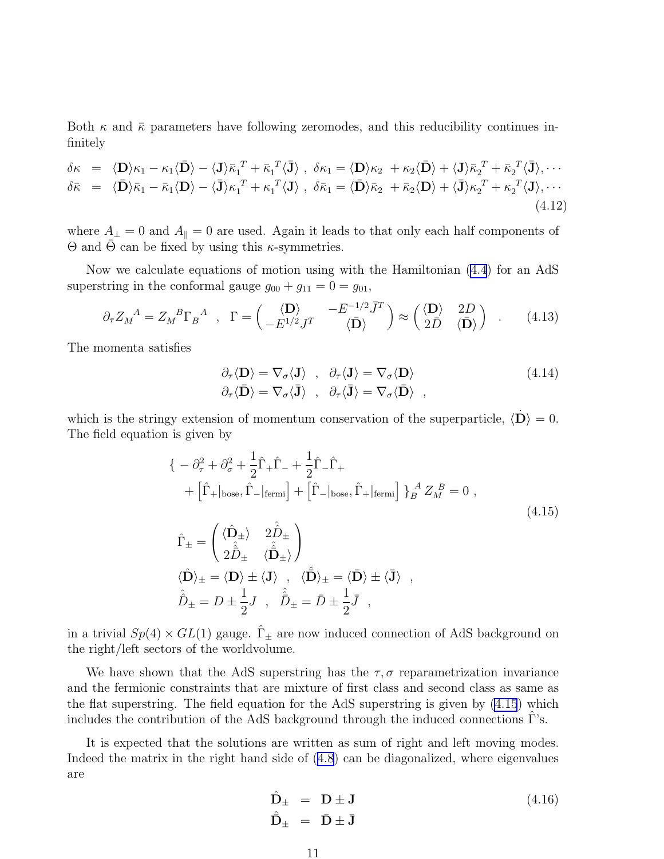Both  $\kappa$  and  $\bar{\kappa}$  parameters have following zeromodes, and this reducibility continues infinitely

$$
\delta \kappa = \langle \mathbf{D} \rangle \kappa_1 - \kappa_1 \langle \mathbf{D} \rangle - \langle \mathbf{J} \rangle \bar{\kappa}_1^T + \bar{\kappa}_1^T \langle \mathbf{J} \rangle , \quad \delta \kappa_1 = \langle \mathbf{D} \rangle \kappa_2 + \kappa_2 \langle \mathbf{D} \rangle + \langle \mathbf{J} \rangle \bar{\kappa}_2^T + \bar{\kappa}_2^T \langle \mathbf{J} \rangle, \cdots \n\delta \bar{\kappa} = \langle \mathbf{D} \rangle \bar{\kappa}_1 - \bar{\kappa}_1 \langle \mathbf{D} \rangle - \langle \mathbf{J} \rangle \kappa_1^T + \kappa_1^T \langle \mathbf{J} \rangle , \quad \delta \bar{\kappa}_1 = \langle \mathbf{D} \rangle \bar{\kappa}_2 + \bar{\kappa}_2 \langle \mathbf{D} \rangle + \langle \mathbf{J} \rangle \kappa_2^T + \kappa_2^T \langle \mathbf{J} \rangle, \cdots
$$
\n(4.12)

where  $A_{\perp} = 0$  and  $A_{\parallel} = 0$  are used. Again it leads to that only each half components of  $Θ$  and  $Θ$  can be fixed by using this  $κ$ -symmetries.

Now we calculate equations of motion using with the Hamiltonian [\(4.4](#page-10-0)) for an AdS superstring in the conformal gauge  $g_{00} + g_{11} = 0 = g_{01}$ ,

$$
\partial_{\tau} Z_{M}{}^{A} = Z_{M}{}^{B} \Gamma_{B}{}^{A} , \Gamma = \begin{pmatrix} \langle \mathbf{D} \rangle & -E^{-1/2} \bar{J}^{T} \\ -E^{1/2} J^{T} & \langle \bar{\mathbf{D}} \rangle \end{pmatrix} \approx \begin{pmatrix} \langle \mathbf{D} \rangle & 2D \\ 2\bar{D} & \langle \bar{\mathbf{D}} \rangle \end{pmatrix} . \quad (4.13)
$$

The momenta satisfies

$$
\partial_{\tau} \langle \mathbf{D} \rangle = \nabla_{\sigma} \langle \mathbf{J} \rangle , \quad \partial_{\tau} \langle \mathbf{J} \rangle = \nabla_{\sigma} \langle \mathbf{D} \rangle
$$
\n
$$
\partial_{\tau} \langle \mathbf{D} \rangle = \nabla_{\sigma} \langle \mathbf{J} \rangle , \quad \partial_{\tau} \langle \mathbf{J} \rangle = \nabla_{\sigma} \langle \mathbf{D} \rangle , \tag{4.14}
$$

which is the stringy extension of momentum conservation of the superparticle,  $\langle \mathbf{D} \rangle = 0$ . The field equation is given by

$$
\begin{aligned}\n\{\n- \partial_{\tau}^{2} + \partial_{\sigma}^{2} + \frac{1}{2} \hat{\Gamma}_{+} \hat{\Gamma}_{-} + \frac{1}{2} \hat{\Gamma}_{-} \hat{\Gamma}_{+} \\
+ \left[ \hat{\Gamma}_{+} |_{\text{base}}, \hat{\Gamma}_{-} |_{\text{fermi}} \right] + \left[ \hat{\Gamma}_{-} |_{\text{base}}, \hat{\Gamma}_{+} |_{\text{fermi}} \right] \}_{B}^{A} Z_{M}^{B} = 0 , \\
\hat{\Gamma}_{\pm} &= \begin{pmatrix}\n\langle \hat{\mathbf{D}}_{\pm} \rangle & 2 \hat{\hat{D}}_{\pm} \\
2 \hat{\hat{D}}_{\pm} & \langle \hat{\hat{\mathbf{D}}}_{\pm} \rangle\n\end{pmatrix} \\
\langle \hat{\mathbf{D}} \rangle_{\pm} &= \langle \mathbf{D} \rangle \pm \langle \mathbf{J} \rangle \ , \quad \langle \hat{\mathbf{D}} \rangle_{\pm} = \langle \mathbf{D} \rangle \pm \langle \mathbf{J} \rangle \ , \\
\hat{\hat{D}}_{\pm} &= D \pm \frac{1}{2} J \ , \quad \hat{\hat{D}}_{\pm} = \bar{D} \pm \frac{1}{2} \bar{J} \ ,\n\end{aligned}
$$
\n(4.15)

in a trivial  $Sp(4) \times GL(1)$  gauge.  $\hat{\Gamma}_{\pm}$  are now induced connection of AdS background on the right/left sectors of the worldvolume.

We have shown that the AdS superstring has the  $\tau$ ,  $\sigma$  reparametrization invariance and the fermionic constraints that are mixture of first class and second class as same as the flat superstring. The field equation for the AdS superstring is given by (4.15) which includes the contribution of the AdS background through the induced connections  $\Gamma$ 's.

It is expected that the solutions are written as sum of right and left moving modes. Indeed the matrix in the right hand side of([4.8\)](#page-10-0) can be diagonalized, where eigenvalues are

$$
\hat{\mathbf{D}}_{\pm} = \mathbf{D} \pm \mathbf{J} \n\hat{\mathbf{D}}_{\pm} = \mathbf{D} \pm \mathbf{J}
$$
\n(4.16)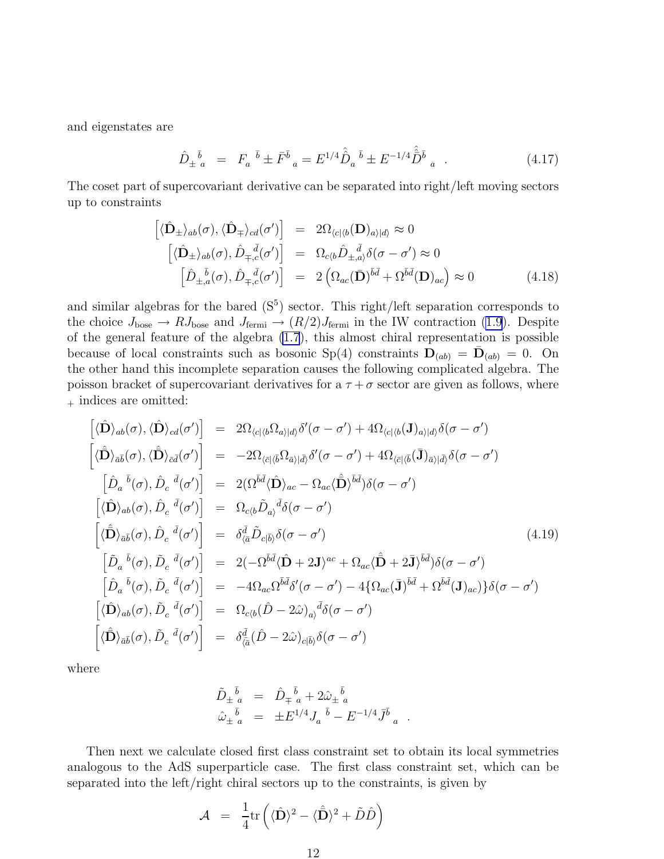and eigenstates are

$$
\hat{D}_{\pm}{}^{\bar{b}}_{a} = F_{a}{}^{\bar{b}} \pm \bar{F}^{\bar{b}}_{a} = E^{1/4} \hat{\hat{D}}_{a}{}^{\bar{b}} \pm E^{-1/4} \hat{\bar{D}}^{\bar{b}}_{a} . \qquad (4.17)
$$

The coset part of supercovariant derivative can be separated into right/left moving sectors up to constraints

$$
\begin{aligned}\n\left[\langle \hat{\mathbf{D}}_{\pm} \rangle_{ab}(\sigma), \langle \hat{\mathbf{D}}_{\mp} \rangle_{cd}(\sigma')\right] &= 2\Omega_{\langle c|\langle b}(\mathbf{D})_{a\rangle|d\rangle} \approx 0 \\
\left[\langle \hat{\mathbf{D}}_{\pm} \rangle_{ab}(\sigma), \hat{D}_{\mp,c}(\sigma')\right] &= \Omega_{c\langle b} \hat{D}_{\pm,a} \delta(\sigma - \sigma') \approx 0 \\
\left[\hat{D}_{\pm,a}(\sigma), \hat{D}_{\mp,c}(\sigma')\right] &= 2\left(\Omega_{ac}(\bar{\mathbf{D}})^{\bar{b}\bar{d}} + \Omega^{\bar{b}\bar{d}}(\mathbf{D})_{ac}\right) \approx 0\n\end{aligned} \tag{4.18}
$$

and similar algebras for the bared  $(S<sup>5</sup>)$  sector. This right/left separation corresponds to the choice  $J_{\text{base}} \to RJ_{\text{base}}$  and  $J_{\text{fermi}} \to (R/2)J_{\text{fermi}}$  in the IW contraction [\(1.9](#page-2-0)). Despite of the general feature of the algebra [\(1.7](#page-2-0)), this almost chiral representation is possible because of local constraints such as bosonic Sp(4) constraints  $\mathbf{D}_{(ab)} = \bar{\mathbf{D}}_{(ab)} = 0$ . On the other hand this incomplete separation causes the following complicated algebra. The poisson bracket of supercovariant derivatives for a  $\tau + \sigma$  sector are given as follows, where  $+$  indices are omitted:

$$
\begin{aligned}\n\left[\langle\hat{\mathbf{D}}\rangle_{ab}(\sigma),\langle\hat{\mathbf{D}}\rangle_{cd}(\sigma')\right] &= 2\Omega_{\langle c|\langle b}\Omega_{a\rangle|d\rangle}\delta'(\sigma-\sigma') + 4\Omega_{\langle c|\langle b}(\mathbf{J})_{a\rangle|d\rangle}\delta(\sigma-\sigma') \\
\left[\langle\hat{\mathbf{D}}\rangle_{\bar{a}\bar{b}}(\sigma),\langle\hat{\mathbf{D}}\rangle_{\bar{c}\bar{d}}(\sigma')\right] &= -2\Omega_{\langle\bar{c}|\langle\bar{b}}\Omega_{\bar{a}\rangle|\bar{d}\rangle}\delta'(\sigma-\sigma') + 4\Omega_{\langle\bar{c}|\langle\bar{b}}(\mathbf{J})_{\bar{a}\rangle|\bar{d}\rangle}\delta(\sigma-\sigma') \\
\left[\hat{D}_a{}^{\bar{b}}(\sigma),\hat{D}_c{}^{\bar{d}}(\sigma')\right] &= 2(\Omega^{\bar{b}\bar{d}}\langle\hat{\mathbf{D}}\rangle_{ac} - \Omega_{ac}\langle\hat{\mathbf{D}}\rangle^{\bar{b}\bar{d}})\delta(\sigma-\sigma') \\
\left[\langle\hat{\mathbf{D}}\rangle_{ab}(\sigma),\hat{D}_c{}^{\bar{d}}(\sigma')\right] &= \Omega_{c\langle b}\tilde{D}_{a\rangle}{}^{\bar{d}}\delta(\sigma-\sigma') \\
\left[\langle\hat{\mathbf{D}}\rangle_{\bar{a}\bar{b}}(\sigma),\hat{D}_c{}^{\bar{d}}(\sigma')\right] &= 2(-\Omega^{\bar{b}\bar{d}}\langle\hat{\mathbf{D}} + 2\mathbf{J})^{ac} + \Omega_{ac}\langle\hat{\mathbf{D}} + 2\mathbf{J}\rangle^{\bar{b}\bar{d}}\rangle\delta(\sigma-\sigma') \\
\left[\hat{D}_a{}^{\bar{b}}(\sigma),\tilde{D}_c{}^{\bar{d}}(\sigma')\right] &= -4\Omega_{ac}\Omega^{\bar{b}\bar{d}}\delta'(\sigma-\sigma') - 4\{\Omega_{ac}(\bar{\mathbf{J}})^{\bar{b}\bar{d}} + \Omega^{\bar{b}\bar{d}}(\mathbf{J})_{ac}\}\delta(\sigma-\sigma') \\
\left[\langle\hat{\mathbf{D}}\rangle_{ab}(\sigma),\tilde{D}_c{}^{\bar{d}}(\sigma')\right] &= -4\Omega_{ac}\Omega^{\bar{b}\bar{
$$

where

$$
\begin{array}{rcl}\n\tilde{D}_{\pm}{}^{\bar{b}}{}_{a} & = & \hat{D}_{\mp}{}^{\bar{b}}{}_{a} + 2 \hat{\omega}_{\pm}{}^{\bar{b}}{}_{a} \\
\hat{\omega}_{\pm}{}^{\bar{b}}{}_{a} & = & \pm E^{1/4} J_{a}{}^{\bar{b}} - E^{-1/4} \bar{J}^{\bar{b}}{}_{a}\n\end{array}
$$

.

Then next we calculate closed first class constraint set to obtain its local symmetries analogous to the AdS superparticle case. The first class constraint set, which can be separated into the left/right chiral sectors up to the constraints, is given by

$$
\mathcal{A} = \frac{1}{4} \text{tr} \left( \langle \hat{\mathbf{D}} \rangle^2 - \langle \hat{\bar{\mathbf{D}}} \rangle^2 + \tilde{D} \hat{D} \right)
$$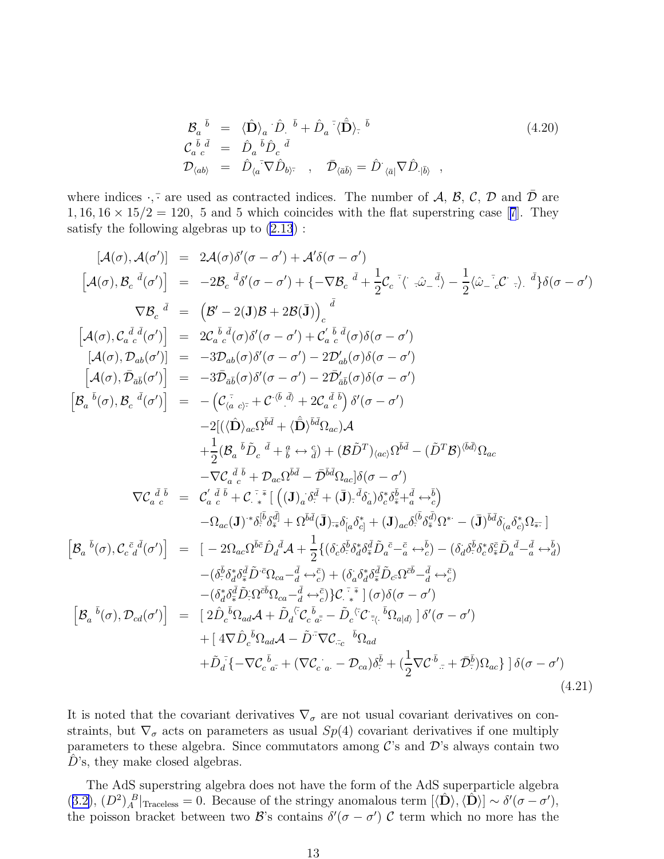$$
\begin{array}{rcl}\n\mathcal{B}_{a}^{\ \ \bar{b}} & = & \langle \hat{\mathbf{D}} \rangle_{a} \cdot \hat{D}_{\cdot}^{\ \ \bar{b}} + \hat{D}_{a}^{\ \ \bar{\cdot}} \langle \hat{\mathbf{D}} \rangle_{\bar{\cdot}}^{\ \ \bar{b}} \\
\mathcal{C}_{a}^{\ \ \bar{b}} \, \bar{d} & = & \hat{D}_{a}^{\ \ \bar{b}} \hat{D}_{c}^{\ \ \bar{d}} \\
\mathcal{D}_{\langle ab \rangle} & = & \hat{D}_{\langle a}^{\ \ \bar{\cdot}} \nabla \hat{D}_{b} \rangle_{\bar{\cdot}}^{\ \ \bar{\cdot}} \end{array}, \quad \bar{\mathcal{D}}_{\langle \bar{a} \bar{b} \rangle} = \hat{D}_{\langle \bar{a} \vert} \nabla \hat{D}_{\cdot | \bar{b} \rangle}^{\ \ \bar{\cdot}} \tag{4.20}
$$

where indices  $\cdot$ ,  $\cdot$  are used as contracted indices. The number of A, B, C, D and  $\overline{D}$  are  $1, 16, 16 \times 15/2 = 120$  $1, 16, 16 \times 15/2 = 120$  $1, 16, 16 \times 15/2 = 120$ , 5 and 5 which coincides with the flat superstring case [[7](#page-15-0)]. They satisfy the following algebras up to  $(2.13)$ :

$$
[A(\sigma), A(\sigma')] = 2A(\sigma)\delta'(\sigma - \sigma') + A'\delta(\sigma - \sigma')
$$
  
\n
$$
[A(\sigma), B_{c}{}^{d}(\sigma')] = -2B_{c}{}^{d}\delta'(\sigma - \sigma') + \{-\nabla B_{c}{}^{d} + \frac{1}{2}C_{c}{}^{c}(\sigma - \sigma') - \frac{1}{2}\langle \hat{\omega}_{-c}{}^{c}(\sigma - \sigma') \rangle
$$
  
\n
$$
\nabla B_{c}{}^{d} = (\mathcal{B}' - 2(\mathbf{J})\mathcal{B} + 2\mathcal{B}(\mathbf{J}))_{c}{}^{d}
$$
  
\n
$$
[A(\sigma), C_{a}{}^{d}\delta'(\sigma')] = 2C_{a}{}^{b}\delta(\sigma - \sigma') + C_{a}{}^{b}\delta(\sigma)\delta(\sigma - \sigma')
$$
  
\n
$$
[A(\sigma), \mathcal{D}_{ab}(\sigma')] = -3\mathcal{D}_{ab}(\sigma)\delta'(\sigma - \sigma') - 2\mathcal{D}'_{ab}(\sigma)\delta(\sigma - \sigma')
$$
  
\n
$$
[A(\sigma), \mathcal{D}_{ab}(\sigma')] = -3\mathcal{D}_{ab}(\sigma)\delta'(\sigma - \sigma') - 2\mathcal{D}'_{ab}(\sigma)\delta(\sigma - \sigma')
$$
  
\n
$$
[B_{a}{}^{b}(\sigma), B_{c}{}^{d}(\sigma')] = -(C_{\alpha}{}^{c}\sigma) + C'^{b}\bar{A} + 2C_{a}{}^{b}\bar{A} + 2C_{a}{}^{b}\bar{A} + 2C'^{b}\bar{A} + 2C'^{b}\bar{A} + 2C'^{b}\bar{A} + 2C'^{b}\bar{A} + 2C'^{b}\bar{A} + 2C'^{b}\bar{A} + 2C'^{b}\bar{A} + 2C'^{b}\bar{A} + 2C'^{b}\bar{A} + 2C'^{b}\bar{A} + 2C'^{b}\bar{A} + 2C'^{b}\bar{A} + 2C'^{b}\bar{A} + 2C'^{b}\bar{A} + 2C'^{b}\bar{A} + 2C'^{b}\bar{A} + 2C'^{b}\bar{A} + 2C'^{b}\bar{A} + 2C'^{b}\bar{A} + 2C'^{b}\bar{A} + 2C'^{b}\bar{
$$

It is noted that the covariant derivatives  $\nabla_{\sigma}$  are not usual covariant derivatives on constraints, but  $\nabla_{\sigma}$  acts on parameters as usual  $Sp(4)$  covariant derivatives if one multiply parameters to these algebra. Since commutators among  $\mathcal{C}$ 's and  $\mathcal{D}'$ 's always contain two  $D$ 's, they make closed algebras.

The AdS superstring algebra does not have the form of the AdS superparticle algebra ([3.2\)](#page-7-0),  $(D^2)_A^B|_{\text{Traceless}} = 0$ . Because of the stringy anomalous term  $[\langle \hat{\mathbf{D}} \rangle, \langle \hat{\mathbf{D}} \rangle] \sim \delta'(\sigma - \sigma')$ , the poisson bracket between two  $\mathcal{B}'s$  contains  $\delta'(\sigma - \sigma')$  C term which no more has the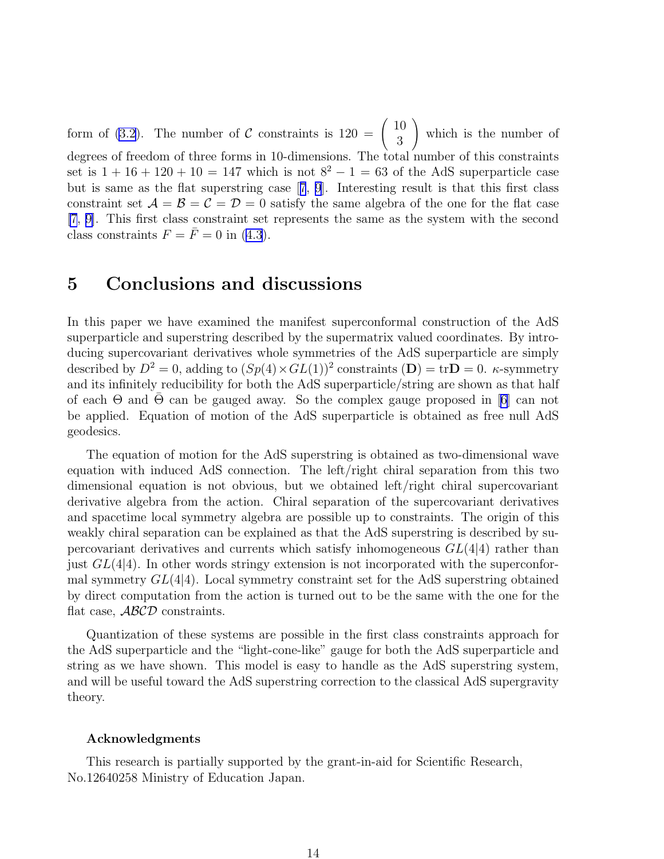form of [\(3.2](#page-7-0)). The number of C constraints is  $120 = \begin{pmatrix} 10 \\ 3 \end{pmatrix}$ 3  $\setminus$ which is the number of degrees of freedom of three forms in 10-dimensions. The total number of this constraints set is  $1 + 16 + 120 + 10 = 147$  which is not  $8^2 - 1 = 63$  of the AdS superparticle case but is same as the flat superstring case[[7](#page-15-0), [9](#page-15-0)]. Interesting result is that this first class constraint set  $\mathcal{A} = \mathcal{B} = \mathcal{C} = \mathcal{D} = 0$  satisfy the same algebra of the one for the flat case [\[7](#page-15-0), [9\]](#page-15-0). This first class constraint set represents the same as the system with the second class constraints  $F = \overline{F} = 0$  in [\(4.3](#page-9-0)).

# 5 Conclusions and discussions

In this paper we have examined the manifest superconformal construction of the AdS superparticle and superstring described by the supermatrix valued coordinates. By introducing supercovariant derivatives whole symmetries of the AdS superparticle are simply described by  $D^2 = 0$ , adding to  $(Sp(4) \times GL(1))^2$  constraints  $(D) = \text{tr}D = 0$ . *κ*-symmetry and its infinitely reducibility for both the AdS superparticle/string are shown as that half ofeach  $\Theta$  and  $\overline{\Theta}$  can be gauged away. So the complex gauge proposed in [[6\]](#page-15-0) can not be applied. Equation of motion of the AdS superparticle is obtained as free null AdS geodesics.

The equation of motion for the AdS superstring is obtained as two-dimensional wave equation with induced AdS connection. The left/right chiral separation from this two dimensional equation is not obvious, but we obtained left/right chiral supercovariant derivative algebra from the action. Chiral separation of the supercovariant derivatives and spacetime local symmetry algebra are possible up to constraints. The origin of this weakly chiral separation can be explained as that the AdS superstring is described by supercovariant derivatives and currents which satisfy inhomogeneous  $GL(4|4)$  rather than just  $GL(4|4)$ . In other words stringy extension is not incorporated with the superconformal symmetry  $GL(4)$ . Local symmetry constraint set for the AdS superstring obtained by direct computation from the action is turned out to be the same with the one for the flat case, ABCD constraints.

Quantization of these systems are possible in the first class constraints approach for the AdS superparticle and the "light-cone-like" gauge for both the AdS superparticle and string as we have shown. This model is easy to handle as the AdS superstring system, and will be useful toward the AdS superstring correction to the classical AdS supergravity theory.

#### Acknowledgments

This research is partially supported by the grant-in-aid for Scientific Research, No.12640258 Ministry of Education Japan.